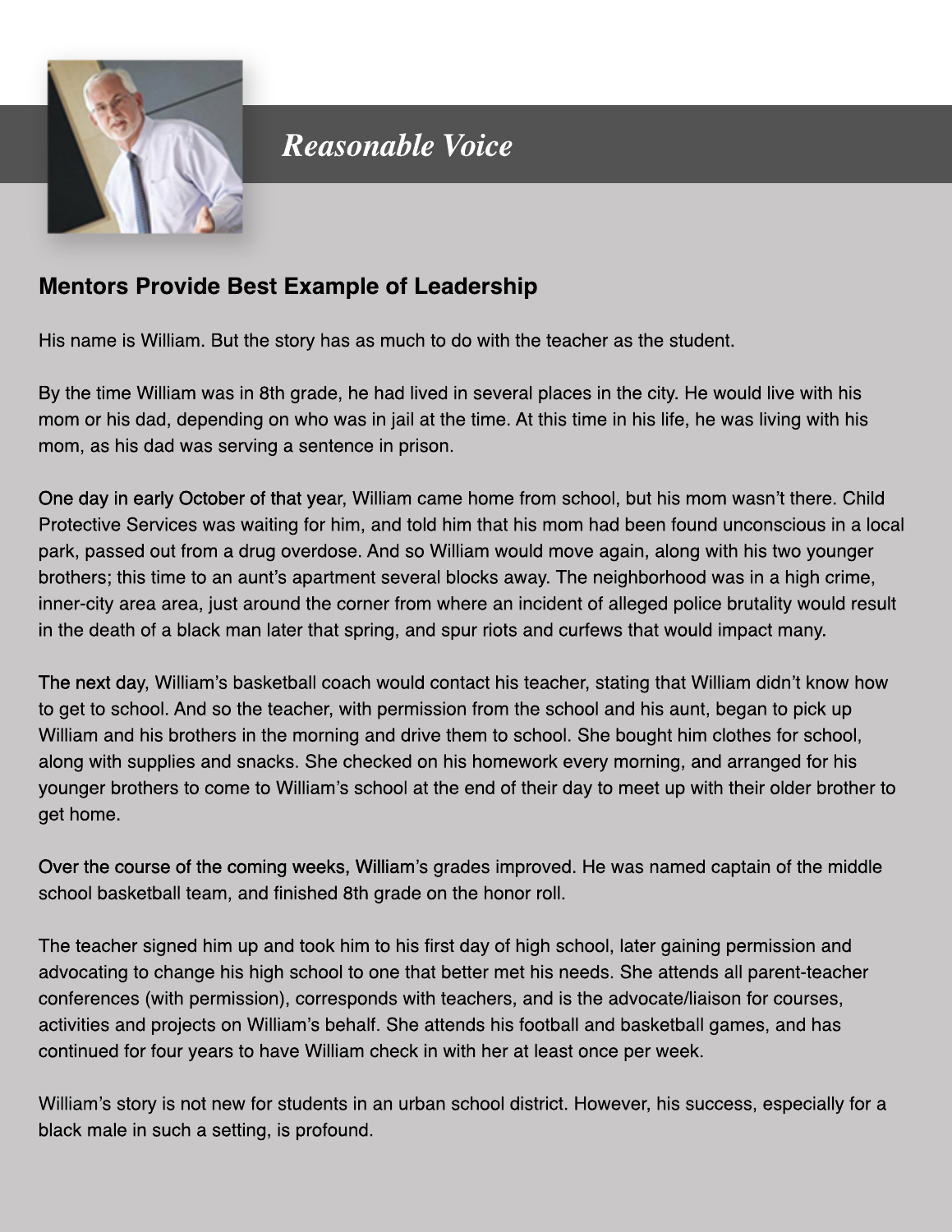

**Reasonable Voice** 

## **Mentors Provide Best Example of Leadership**

His name is William. But the story has as much to do with the teacher as the student.

By the time William was in 8th grade, he had lived in several places in the city. He would live with his mom or his dad, depending on who was in jail at the time. At this time in his life, he was living with his mom, as his dad was serving a sentence in prison.

One day in early October of that year, William came home from school, but his mom wasn't there. Child Protective Services was waiting for him, and told him that his mom had been found unconscious in a local park, passed out from a drug overdose. And so William would move again, along with his two younger brothers; this time to an aunt's apartment several blocks away. The neighborhood was in a high crime, inner-city area area, just around the corner from where an incident of alleged police brutality would result in the death of a black man later that spring, and spur riots and curfews that would impact many.

The next day, William's basketball coach would contact his teacher, stating that William didn't know how to get to school. And so the teacher, with permission from the school and his aunt, began to pick up William and his brothers in the morning and drive them to school. She bought him clothes for school, along with supplies and snacks. She checked on his homework every morning, and arranged for his younger brothers to come to William's school at the end of their day to meet up with their older brother to get home.

Over the course of the coming weeks, William's grades improved. He was named captain of the middle school basketball team, and finished 8th grade on the honor roll.

The teacher signed him up and took him to his first day of high school, later gaining permission and advocating to change his high school to one that better met his needs. She attends all parent-teacher conferences (with permission), corresponds with teachers, and is the advocate/liaison for courses, activities and projects on William's behalf. She attends his football and basketball games, and has continued for four years to have William check in with her at least once per week.

William's story is not new for students in an urban school district. However, his success, especially for a black male in such a setting, is profound.